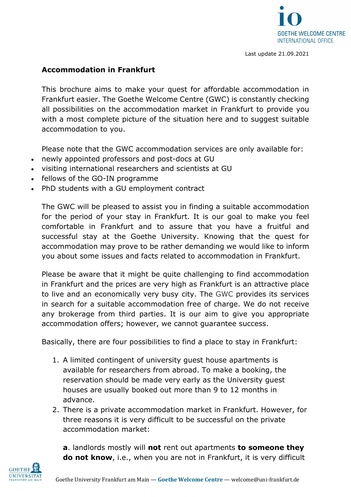

#### **Accommodation in Frankfurt**

This brochure aims to make your quest for affordable accommodation in Frankfurt easier. The Goethe Welcome Centre (GWC) is constantly checking all possibilities on the accommodation market in Frankfurt to provide you with a most complete picture of the situation here and to suggest suitable accommodation to you.

Please note that the GWC accommodation services are only available for:

- newly appointed professors and post-docs at GU
- visiting international researchers and scientists at GU
- fellows of the GO-IN programme
- PhD students with a GU employment contract

The GWC will be pleased to assist you in finding a suitable accommodation for the period of your stay in Frankfurt. It is our goal to make you feel comfortable in Frankfurt and to assure that you have a fruitful and successful stay at the Goethe University. Knowing that the quest for accommodation may prove to be rather demanding we would like to inform you about some issues and facts related to accommodation in Frankfurt.

Please be aware that it might be quite challenging to find accommodation in Frankfurt and the prices are very high as Frankfurt is an attractive place to live and an economically very busy city. The GWC provides its services in search for a suitable accommodation free of charge. We do not receive any brokerage from third parties. It is our aim to give you appropriate accommodation offers; however, we cannot guarantee success.

Basically, there are four possibilities to find a place to stay in Frankfurt:

- 1. A limited contingent of university guest house apartments is available for researchers from abroad. To make a booking, the reservation should be made very early as the University guest houses are usually booked out more than 9 to 12 months in advance.
- 2. There is a private accommodation market in Frankfurt. However, for three reasons it is very difficult to be successful on the private accommodation market:

**a**. landlords mostly will **not** rent out apartments **to someone they do not know**, i.e., when you are not in Frankfurt, it is very difficult

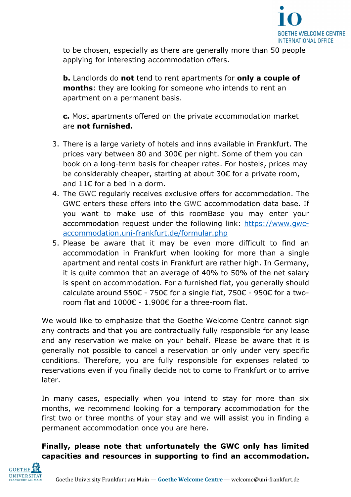

to be chosen, especially as there are generally more than 50 people applying for interesting accommodation offers.

**b.** Landlords do **not** tend to rent apartments for **only a couple of months**: they are looking for someone who intends to rent an apartment on a permanent basis.

**c.** Most apartments offered on the private accommodation market are **not furnished.** 

- 3. There is a large variety of hotels and inns available in Frankfurt. The prices vary between 80 and 300€ per night. Some of them you can book on a long-term basis for cheaper rates. For hostels, prices may be considerably cheaper, starting at about 30€ for a private room, and 11 $\epsilon$  for a bed in a dorm.
- 4. The GWC regularly receives exclusive offers for accommodation. The GWC enters these offers into the GWC accommodation data base. If you want to make use of this roomBase you may enter your accommodation request under the following link: [https://www.gwc](https://www.gwc-accommodation.uni-frankfurt.de/formular.php)[accommodation.uni-frankfurt.de/formular.php](https://www.gwc-accommodation.uni-frankfurt.de/formular.php)
- 5. Please be aware that it may be even more difficult to find an accommodation in Frankfurt when looking for more than a single apartment and rental costs in Frankfurt are rather high. In Germany, it is quite common that an average of 40% to 50% of the net salary is spent on accommodation. For a furnished flat, you generally should calculate around 550€ - 750€ for a single flat, 750€ - 950€ for a tworoom flat and 1000€ - 1.900€ for a three-room flat.

We would like to emphasize that the Goethe Welcome Centre cannot sign any contracts and that you are contractually fully responsible for any lease and any reservation we make on your behalf. Please be aware that it is generally not possible to cancel a reservation or only under very specific conditions. Therefore, you are fully responsible for expenses related to reservations even if you finally decide not to come to Frankfurt or to arrive later.

In many cases, especially when you intend to stay for more than six months, we recommend looking for a temporary accommodation for the first two or three months of your stay and we will assist you in finding a permanent accommodation once you are here.

# **Finally, please note that unfortunately the GWC only has limited capacities and resources in supporting to find an accommodation.**

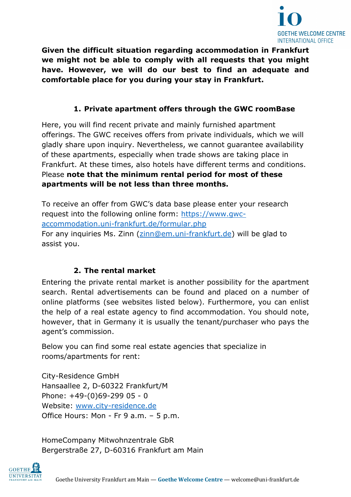

**Given the difficult situation regarding accommodation in Frankfurt we might not be able to comply with all requests that you might have. However, we will do our best to find an adequate and comfortable place for you during your stay in Frankfurt.**

### **1. Private apartment offers through the GWC roomBase**

Here, you will find recent private and mainly furnished apartment offerings. The GWC receives offers from private individuals, which we will gladly share upon inquiry. Nevertheless, we cannot guarantee availability of these apartments, especially when trade shows are taking place in Frankfurt. At these times, also hotels have different terms and conditions. Please **note that the minimum rental period for most of these apartments will be not less than three months.**

To receive an offer from GWC's data base please enter your research request into the following online form: [https://www.gwc](https://www.gwc-accommodation.uni-frankfurt.de/formular.php)[accommodation.uni-frankfurt.de/formular.php](https://www.gwc-accommodation.uni-frankfurt.de/formular.php) For any inquiries Ms. Zinn [\(zinn@em.uni-frankfurt.de\)](mailto:zinn@em.uni-frankfurt.de) will be glad to assist you.

### **2. The rental market**

Entering the private rental market is another possibility for the apartment search. Rental advertisements can be found and placed on a number of online platforms (see websites listed below). Furthermore, you can enlist the help of a real estate agency to find accommodation. You should note, however, that in Germany it is usually the tenant/purchaser who pays the agent's commission.

Below you can find some real estate agencies that specialize in rooms/apartments for rent:

City-Residence GmbH Hansaallee 2, D-60322 Frankfurt/M Phone: +49-(0)69-299 05 - 0 Website: [www.city-residence.de](http://www.city-residence.de/) Office Hours: Mon - Fr 9 a.m. - 5 p.m.

HomeCompany Mitwohnzentrale GbR Bergerstraße 27, D-60316 Frankfurt am Main

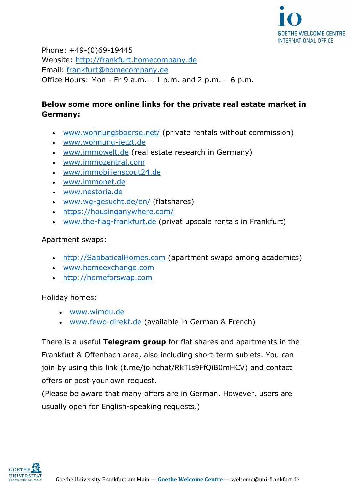

Phone: +49-(0)69-19445 Website: [http://frankfurt.homecompany.de](http://frankfurt.homecompany.de/) Email: [frankfurt@homecompany.de](mailto:frankfurt@homecompany.de) Office Hours: Mon - Fr 9 a.m.  $-1$  p.m. and 2 p.m.  $-6$  p.m.

## **Below some more online links for the private real estate market in Germany:**

- [www.wohnungsboerse.net/](http://www.wohnungsboerse.net/) (private rentals without commission)
- [www.wohnung-jetzt.de](http://www.wohnung-jetzt.de/)
- [www.immowelt.de](http://www.immowelt.de/) (real estate research in Germany)
- [www.immozentral.com](http://www.immozentral.com/)
- [www.immobilienscout24.de](http://www.immobilienscout24.de/)
- [www.immonet.de](http://www.immonet.de/)
- [www.nestoria.de](http://www.nestoria.de/)
- [www.wg-gesucht.de/en/](http://www.wg-gesucht.de/en/) (flatshares)
- <https://housinganywhere.com/>
- [www.the-flag-frankfurt.de](http://www.the-flag-frankfurt.de/) (privat upscale rentals in Frankfurt)

### Apartment swaps:

- [http://SabbaticalHomes.com](http://sabbaticalhomes.com/) (apartment swaps among academics)
- [www.homeexchange.com](http://www.homeexchange.com/)
- [http://homeforswap.com](http://homeforswap.com/)

Holiday homes:

- [www.wimdu.de](http://www.wimdu.de/)
- [www.fewo-direkt.de](http://www.fewo-direkt.de/) (available in German & French)

There is a useful **Telegram group** for flat shares and apartments in the Frankfurt & Offenbach area, also including short-term sublets. You can join by using this link (t.me/joinchat/RkTIs9FfOiB0mHCV) and contact offers or post your own request.

(Please be aware that many offers are in German. However, users are usually open for English-speaking requests.)

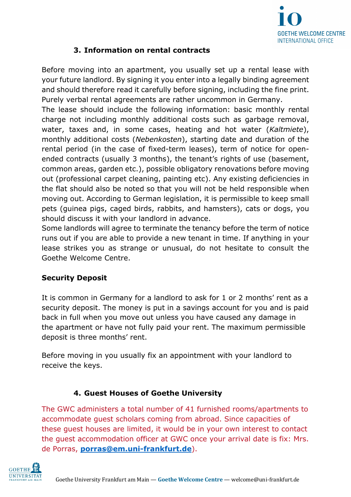

# **3. Information on rental contracts**

Before moving into an apartment, you usually set up a rental lease with your future landlord. By signing it you enter into a legally binding agreement and should therefore read it carefully before signing, including the fine print. Purely verbal rental agreements are rather uncommon in Germany.

The lease should include the following information: basic monthly rental charge not including monthly additional costs such as garbage removal, water, taxes and, in some cases, heating and hot water (*Kaltmiete*), monthly additional costs (*Nebenkosten*), starting date and duration of the rental period (in the case of fixed-term leases), term of notice for openended contracts (usually 3 months), the tenant's rights of use (basement, common areas, garden etc.), possible obligatory renovations before moving out (professional carpet cleaning, painting etc). Any existing deficiencies in the flat should also be noted so that you will not be held responsible when moving out. According to German legislation, it is permissible to keep small pets (guinea pigs, caged birds, rabbits, and hamsters), cats or dogs, you should discuss it with your landlord in advance.

Some landlords will agree to terminate the tenancy before the term of notice runs out if you are able to provide a new tenant in time. If anything in your lease strikes you as strange or unusual, do not hesitate to consult the Goethe Welcome Centre.

# **Security Deposit**

It is common in Germany for a landlord to ask for 1 or 2 months' rent as a security deposit. The money is put in a savings account for you and is paid back in full when you move out unless you have caused any damage in the apartment or have not fully paid your rent. The maximum permissible deposit is three months' rent.

Before moving in you usually fix an appointment with your landlord to receive the keys.

# **4. Guest Houses of Goethe University**

The GWC administers a total number of 41 furnished rooms/apartments to accommodate guest scholars coming from abroad. Since capacities of these guest houses are limited, it would be in your own interest to contact the guest accommodation officer at GWC once your arrival date is fix: Mrs. de Porras, **[porras@em.uni-frankfurt.de](mailto:porras@em.uni-frankfurt.de)**).

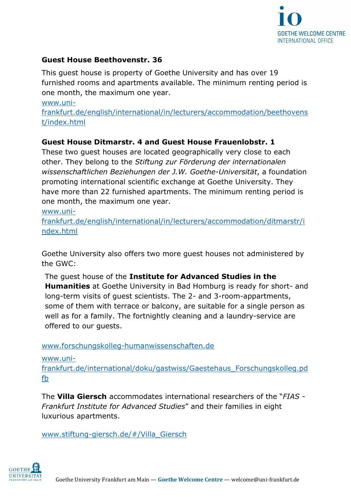

#### **Guest House Beethovenstr. 36**

This guest house is property of Goethe University and has over 19 furnished rooms and apartments available. The minimum renting period is one month, the maximum one year.

[www.uni-](http://www.uni-frankfurt.de/english/international/in/lecturers/accommodation/beethovenst/index.html)

[frankfurt.de/english/international/in/lecturers/accommodation/beethovens](http://www.uni-frankfurt.de/english/international/in/lecturers/accommodation/beethovenst/index.html) [t/index.html](http://www.uni-frankfurt.de/english/international/in/lecturers/accommodation/beethovenst/index.html)

#### **Guest House Ditmarstr. 4 and Guest House Frauenlobstr. 1**

These two guest houses are located geographically very close to each other. They belong to the *Stiftung zur Förderung der internationalen wissenschaftlichen Beziehungen der J.W. Goethe-Universität*, a foundation promoting international scientific exchange at Goethe University. They have more than 22 furnished apartments. The minimum renting period is one month, the maximum one year.

[www.uni-](http://www.uni-frankfurt.de/english/international/in/lecturers/accommodation/ditmarstr/index.html)

[frankfurt.de/english/international/in/lecturers/accommodation/ditmarstr/i](http://www.uni-frankfurt.de/english/international/in/lecturers/accommodation/ditmarstr/index.html) [ndex.html](http://www.uni-frankfurt.de/english/international/in/lecturers/accommodation/ditmarstr/index.html) 

Goethe University also offers two more guest houses not administered by the GWC:

The guest house of the **Institute for Advanced Studies in the Humanities** at Goethe University in Bad Homburg is ready for short- and long-term visits of guest scientists. The 2- and 3-room-appartments, some of them with terrace or balcony, are suitable for a single person as well as for a family. The fortnightly cleaning and a laundry-service are offered to our guests.

[www.forschungskolleg-humanwissenschaften.de](http://www.forschungskolleg-humanwissenschaften.de/)

[www.uni-](http://www.uni-frankfurt.de/international/doku/gastwiss/Gaestehaus_Forschungskolleg.pdfb)

[frankfurt.de/international/doku/gastwiss/Gaestehaus\\_Forschungskolleg.pd](http://www.uni-frankfurt.de/international/doku/gastwiss/Gaestehaus_Forschungskolleg.pdfb) [fb](http://www.uni-frankfurt.de/international/doku/gastwiss/Gaestehaus_Forschungskolleg.pdfb)

The **Villa Giersch** accommodates international researchers of the "*FIAS - Frankfurt Institute for Advanced Studies*" and their families in eight luxurious apartments.

[www.stiftung-giersch.de/#/Villa\\_Giersch](http://www.stiftung-giersch.de/#/Villa_Giersch)

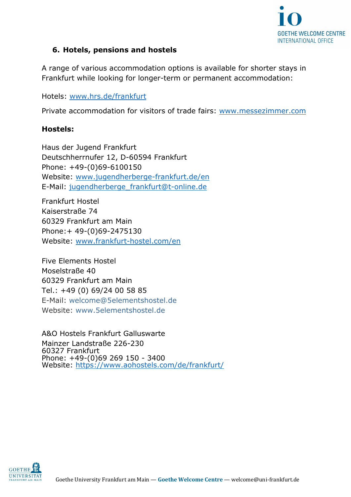

### **6. Hotels, pensions and hostels**

A range of various accommodation options is available for shorter stays in Frankfurt while looking for longer-term or permanent accommodation:

Hotels: [www.hrs.de/frankfurt](http://www.hrs.de/frankfurt)

Private accommodation for visitors of trade fairs: [www.messezimmer.com](http://www.messezimmer.com/)

### **Hostels:**

Haus der Jugend Frankfurt Deutschherrnufer 12, D-60594 Frankfurt Phone: +49-(0)69-6100150 Website: [www.jugendherberge-frankfurt.de/](http://www.jugendherberge-frankfurt.de/)en E-Mail: [jugendherberge\\_frankfurt@t-online.de](mailto:jugendherberge_frankfurt@t-online.de)

Frankfurt Hostel Kaiserstraße 74 60329 Frankfurt am Main Phone:+ 49-(0)69-2475130 Website: [www.frankfurt-hostel.com/](http://www.frankfurt-hostel.com/)en

Five Elements Hostel Moselstraße 40 60329 Frankfurt am Main Tel.: +49 (0) 69/24 00 58 85 E-Mail: [welcome@5elementshostel.de](mailto:welcome@5elementshostel.de) Website: [www.5elementshostel.de](http://www.5elementshostel.de/)

A&O Hostels Frankfurt Galluswarte Mainzer Landstraße 226-230 60327 Frankfurt Phone: +49-(0)69 269 150 - 3400 Website:<https://www.aohostels.com/de/frankfurt/>

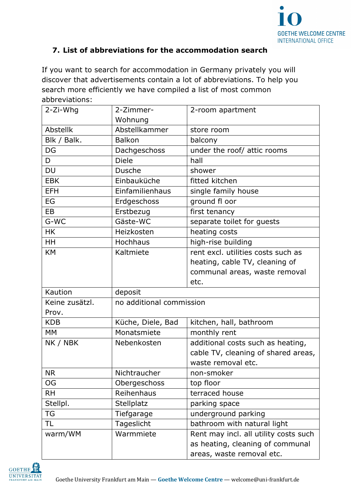

## **7. List of abbreviations for the accommodation search**

If you want to search for accommodation in Germany privately you will discover that advertisements contain a lot of abbreviations. To help you search more efficiently we have compiled a list of most common abbreviations:

| 2-Zi-Whg       | 2-Zimmer-                | 2-room apartment                      |
|----------------|--------------------------|---------------------------------------|
|                | Wohnung                  |                                       |
| Abstellk       | Abstellkammer            | store room                            |
| Blk / Balk.    | <b>Balkon</b>            | balcony                               |
| DG             | Dachgeschoss             | under the roof/ attic rooms           |
| D              | <b>Diele</b>             | hall                                  |
| <b>DU</b>      | <b>Dusche</b>            | shower                                |
| <b>EBK</b>     | Einbauküche              | fitted kitchen                        |
| <b>EFH</b>     | Einfamilienhaus          | single family house                   |
| EG             | Erdgeschoss              | ground fl oor                         |
| EB             | Erstbezug                | first tenancy                         |
| G-WC           | Gäste-WC                 | separate toilet for guests            |
| <b>HK</b>      | Heizkosten               | heating costs                         |
| HH             | Hochhaus                 | high-rise building                    |
| <b>KM</b>      | Kaltmiete                | rent excl. utilities costs such as    |
|                |                          | heating, cable TV, cleaning of        |
|                |                          | communal areas, waste removal         |
|                |                          | etc.                                  |
| Kaution        | deposit                  |                                       |
| Keine zusätzl. | no additional commission |                                       |
| Prov.          |                          |                                       |
| <b>KDB</b>     | Küche, Diele, Bad        | kitchen, hall, bathroom               |
| <b>MM</b>      | Monatsmiete              | monthly rent                          |
| NK / NBK       | Nebenkosten              | additional costs such as heating,     |
|                |                          | cable TV, cleaning of shared areas,   |
|                |                          | waste removal etc.                    |
| <b>NR</b>      | Nichtraucher             | non-smoker                            |
| OG             | Obergeschoss             | top floor                             |
| <b>RH</b>      | Reihenhaus               | terraced house                        |
| Stellpl.       | <b>Stellplatz</b>        | parking space                         |
| <b>TG</b>      | Tiefgarage               | underground parking                   |
| TL             | Tageslicht               | bathroom with natural light           |
| warm/WM        | Warmmiete                | Rent may incl. all utility costs such |
|                |                          | as heating, cleaning of communal      |
|                |                          | areas, waste removal etc.             |